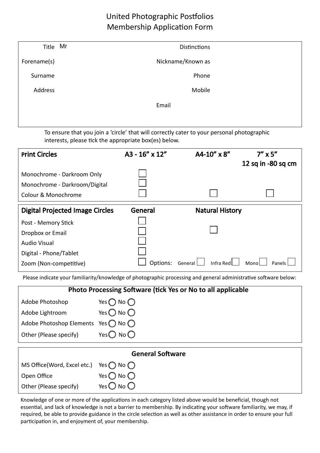## United Photographic Postfolios Membership Application Form

| Title Mr    | <b>Distinctions</b> |
|-------------|---------------------|
| Forename(s) | Nickname/Known as   |
| Surname     | Phone               |
| Address     | Mobile              |
|             | Email               |
|             |                     |

To ensure that you join a 'circle' that will correctly cater to your personal photographic interests, please tick the appropriate box(es) below.

| <b>Print Circles</b>                   | A3 - 16" x 12" | A4-10" x 8"            | $7'' \times 5''$<br>12 sq in -80 sq cm |
|----------------------------------------|----------------|------------------------|----------------------------------------|
| Monochrome - Darkroom Only             |                |                        |                                        |
| Monochrome - Darkroom/Digital          |                |                        |                                        |
| Colour & Monochrome                    |                |                        |                                        |
| <b>Digital Projected Image Circles</b> | General        | <b>Natural History</b> |                                        |
| Post - Memory Stick                    |                |                        |                                        |
| Dropbox or Email                       |                |                        |                                        |
| <b>Audio Visual</b>                    |                |                        |                                        |
| Digital - Phone/Tablet                 |                |                        |                                        |
| Zoom (Non-competitive)                 | Options:       | Infra Red<br>General   | Monol<br>Panels                        |

Please indicate your familiarity/knowledge of photographic processing and general administrative software below:

| <b>Photo Processing Software (tick Yes or No to all applicable</b> |                              |  |
|--------------------------------------------------------------------|------------------------------|--|
| Adobe Photoshop                                                    | Yes $\bigcap$ No $\bigcap$   |  |
| Adobe Lightroom                                                    | Yes $\bigcirc$ No $\bigcirc$ |  |
| Adobe Photoshop Elements Yes $\bigcap$ No $\bigcap$                |                              |  |
| Other (Please specify)                                             | Yes $\bigcirc$ No $\bigcirc$ |  |
|                                                                    | <b>General Software</b>      |  |
| MS Office(Word, Excel etc.)                                        | Yes $\bigcap$ No $\bigcap$   |  |
| Open Office                                                        | Yes $()$ No $()$             |  |
| Other (Please specify)                                             | Yes $\mathbb C$<br>) No ()   |  |

Knowledge of one or more of the applications in each category listed above would be beneficial, though not essential, and lack of knowledge is not a barrier to membership. By indicating your software familiarity, we may, if required, be able to provide guidance in the circle selection as well as other assistance in order to ensure your full participation in, and enjoyment of, your membership.